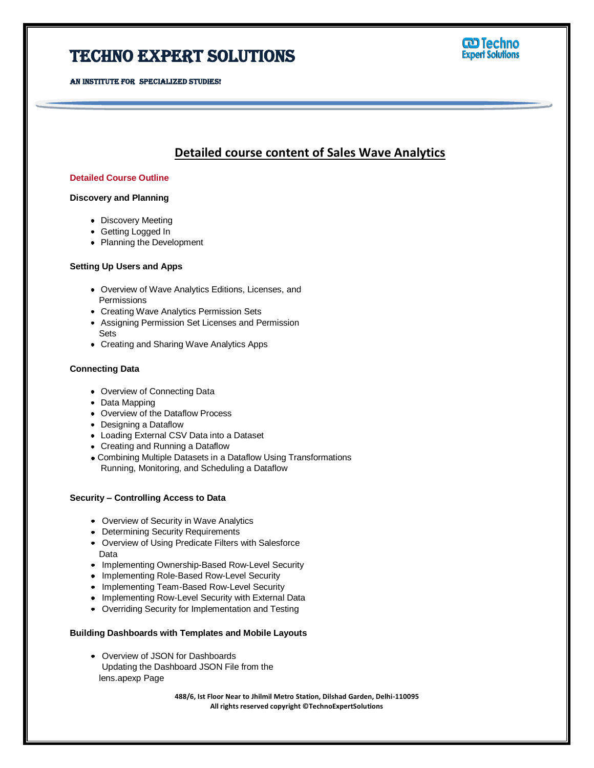# Techno Expert Solutions

AN INSTITUTE FOR SPECIALIZED STUDIES!

### **CD Techno Expert Solutions**

### **Detailed course content of Sales Wave Analytics**

Ï

#### **Detailed Course Outline**

#### **Discovery and Planning**

- Discovery Meeting
- Getting Logged In
- Planning the Development

#### **Setting Up Users and Apps**

- Overview of Wave Analytics Editions, Licenses, and **Permissions**
- Creating Wave Analytics Permission Sets
- Assigning Permission Set Licenses and Permission Sets
- Creating and Sharing Wave Analytics Apps

#### **Connecting Data**

- Overview of Connecting Data
- Data Mapping
- **Overview of the Dataflow Process**
- Designing a Dataflow
- Loading External CSV Data into a Dataset
- Creating and Running a Dataflow
- Combining Multiple Datasets in a Dataflow Using Transformations Running, Monitoring, and Scheduling a Dataflow

#### **Security – Controlling Access to Data**

- Overview of Security in Wave Analytics
- **Determining Security Requirements**
- Overview of Using Predicate Filters with Salesforce Data
- Implementing Ownership-Based Row-Level Security
- Implementing Role-Based Row-Level Security
- **Implementing Team-Based Row-Level Security**
- **Implementing Row-Level Security with External Data**
- Overriding Security for Implementation and Testing

#### **Building Dashboards with Templates and Mobile Layouts**

Overview of JSON for Dashboards Updating the Dashboard JSON File from the lens.apexp Page

> **488/6, Ist Floor Near to Jhilmil Metro Station, Dilshad Garden, Delhi-110095 All rights reserved copyright ©TechnoExpertSolutions**